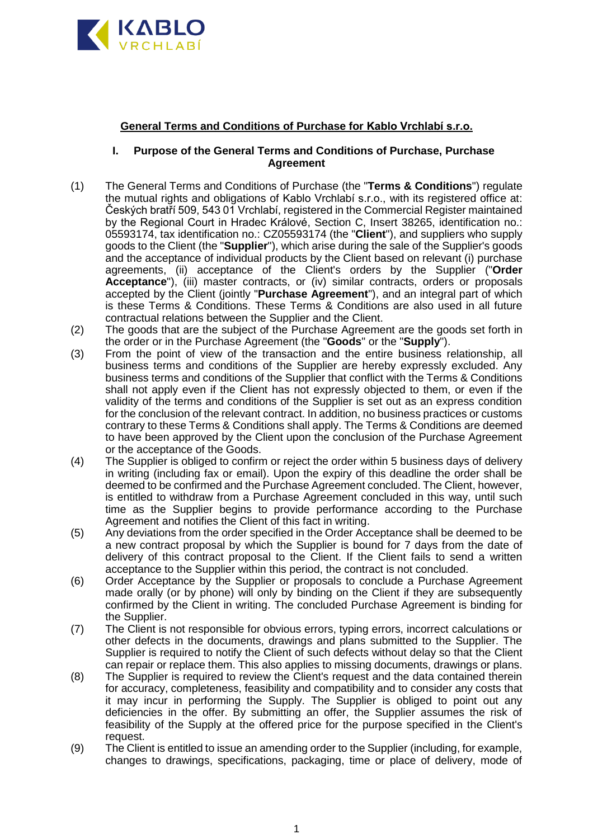

## **General Terms and Conditions of Purchase for Kablo Vrchlabí s.r.o.**

### **I. Purpose of the General Terms and Conditions of Purchase, Purchase Agreement**

- (1) The General Terms and Conditions of Purchase (the "**Terms & Conditions**") regulate the mutual rights and obligations of Kablo Vrchlabí s.r.o., with its registered office at: Českých bratří 509, 543 01 Vrchlabí, registered in the Commercial Register maintained by the Regional Court in Hradec Králové, Section C, Insert 38265, identification no.: 05593174, tax identification no.: CZ05593174 (the "**Client**"), and suppliers who supply goods to the Client (the "**Supplier**"), which arise during the sale of the Supplier's goods and the acceptance of individual products by the Client based on relevant (i) purchase agreements, (ii) acceptance of the Client's orders by the Supplier ("**Order Acceptance**"), (iii) master contracts, or (iv) similar contracts, orders or proposals accepted by the Client (jointly "**Purchase Agreement**"), and an integral part of which is these Terms & Conditions. These Terms & Conditions are also used in all future contractual relations between the Supplier and the Client.
- (2) The goods that are the subject of the Purchase Agreement are the goods set forth in the order or in the Purchase Agreement (the "**Goods**" or the "**Supply**").
- (3) From the point of view of the transaction and the entire business relationship, all business terms and conditions of the Supplier are hereby expressly excluded. Any business terms and conditions of the Supplier that conflict with the Terms & Conditions shall not apply even if the Client has not expressly objected to them, or even if the validity of the terms and conditions of the Supplier is set out as an express condition for the conclusion of the relevant contract. In addition, no business practices or customs contrary to these Terms & Conditions shall apply. The Terms & Conditions are deemed to have been approved by the Client upon the conclusion of the Purchase Agreement or the acceptance of the Goods.
- (4) The Supplier is obliged to confirm or reject the order within 5 business days of delivery in writing (including fax or email). Upon the expiry of this deadline the order shall be deemed to be confirmed and the Purchase Agreement concluded. The Client, however, is entitled to withdraw from a Purchase Agreement concluded in this way, until such time as the Supplier begins to provide performance according to the Purchase Agreement and notifies the Client of this fact in writing.
- (5) Any deviations from the order specified in the Order Acceptance shall be deemed to be a new contract proposal by which the Supplier is bound for 7 days from the date of delivery of this contract proposal to the Client. If the Client fails to send a written acceptance to the Supplier within this period, the contract is not concluded.
- (6) Order Acceptance by the Supplier or proposals to conclude a Purchase Agreement made orally (or by phone) will only by binding on the Client if they are subsequently confirmed by the Client in writing. The concluded Purchase Agreement is binding for the Supplier.
- (7) The Client is not responsible for obvious errors, typing errors, incorrect calculations or other defects in the documents, drawings and plans submitted to the Supplier. The Supplier is required to notify the Client of such defects without delay so that the Client can repair or replace them. This also applies to missing documents, drawings or plans.
- (8) The Supplier is required to review the Client's request and the data contained therein for accuracy, completeness, feasibility and compatibility and to consider any costs that it may incur in performing the Supply. The Supplier is obliged to point out any deficiencies in the offer. By submitting an offer, the Supplier assumes the risk of feasibility of the Supply at the offered price for the purpose specified in the Client's request.
- (9) The Client is entitled to issue an amending order to the Supplier (including, for example, changes to drawings, specifications, packaging, time or place of delivery, mode of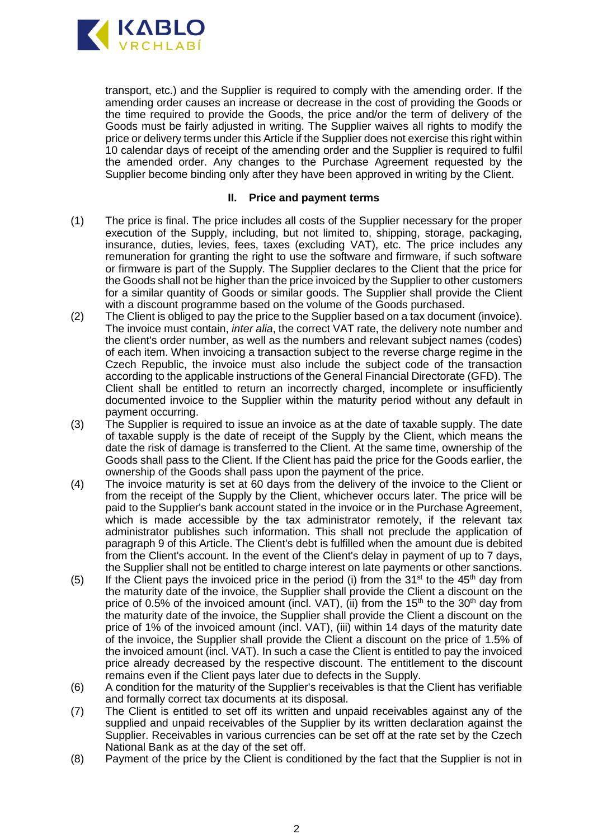

transport, etc.) and the Supplier is required to comply with the amending order. If the amending order causes an increase or decrease in the cost of providing the Goods or the time required to provide the Goods, the price and/or the term of delivery of the Goods must be fairly adjusted in writing. The Supplier waives all rights to modify the price or delivery terms under this Article if the Supplier does not exercise this right within 10 calendar days of receipt of the amending order and the Supplier is required to fulfil the amended order. Any changes to the Purchase Agreement requested by the Supplier become binding only after they have been approved in writing by the Client.

### **II. Price and payment terms**

- (1) The price is final. The price includes all costs of the Supplier necessary for the proper execution of the Supply, including, but not limited to, shipping, storage, packaging, insurance, duties, levies, fees, taxes (excluding VAT), etc. The price includes any remuneration for granting the right to use the software and firmware, if such software or firmware is part of the Supply. The Supplier declares to the Client that the price for the Goods shall not be higher than the price invoiced by the Supplier to other customers for a similar quantity of Goods or similar goods. The Supplier shall provide the Client with a discount programme based on the volume of the Goods purchased.
- (2) The Client is obliged to pay the price to the Supplier based on a tax document (invoice). The invoice must contain, *inter alia*, the correct VAT rate, the delivery note number and the client's order number, as well as the numbers and relevant subject names (codes) of each item. When invoicing a transaction subject to the reverse charge regime in the Czech Republic, the invoice must also include the subject code of the transaction according to the applicable instructions of the General Financial Directorate (GFD). The Client shall be entitled to return an incorrectly charged, incomplete or insufficiently documented invoice to the Supplier within the maturity period without any default in payment occurring.
- (3) The Supplier is required to issue an invoice as at the date of taxable supply. The date of taxable supply is the date of receipt of the Supply by the Client, which means the date the risk of damage is transferred to the Client. At the same time, ownership of the Goods shall pass to the Client. If the Client has paid the price for the Goods earlier, the ownership of the Goods shall pass upon the payment of the price.
- (4) The invoice maturity is set at 60 days from the delivery of the invoice to the Client or from the receipt of the Supply by the Client, whichever occurs later. The price will be paid to the Supplier's bank account stated in the invoice or in the Purchase Agreement, which is made accessible by the tax administrator remotely, if the relevant tax administrator publishes such information. This shall not preclude the application of paragraph 9 of this Article. The Client's debt is fulfilled when the amount due is debited from the Client's account. In the event of the Client's delay in payment of up to 7 days, the Supplier shall not be entitled to charge interest on late payments or other sanctions.
- (5) If the Client pays the invoiced price in the period (i) from the  $31<sup>st</sup>$  to the  $45<sup>th</sup>$  day from the maturity date of the invoice, the Supplier shall provide the Client a discount on the price of 0.5% of the invoiced amount (incl. VAT), (ii) from the 15<sup>th</sup> to the 30<sup>th</sup> day from the maturity date of the invoice, the Supplier shall provide the Client a discount on the price of 1% of the invoiced amount (incl. VAT), (iii) within 14 days of the maturity date of the invoice, the Supplier shall provide the Client a discount on the price of 1.5% of the invoiced amount (incl. VAT). In such a case the Client is entitled to pay the invoiced price already decreased by the respective discount. The entitlement to the discount remains even if the Client pays later due to defects in the Supply.
- (6) A condition for the maturity of the Supplier's receivables is that the Client has verifiable and formally correct tax documents at its disposal.
- (7) The Client is entitled to set off its written and unpaid receivables against any of the supplied and unpaid receivables of the Supplier by its written declaration against the Supplier. Receivables in various currencies can be set off at the rate set by the Czech National Bank as at the day of the set off.
- (8) Payment of the price by the Client is conditioned by the fact that the Supplier is not in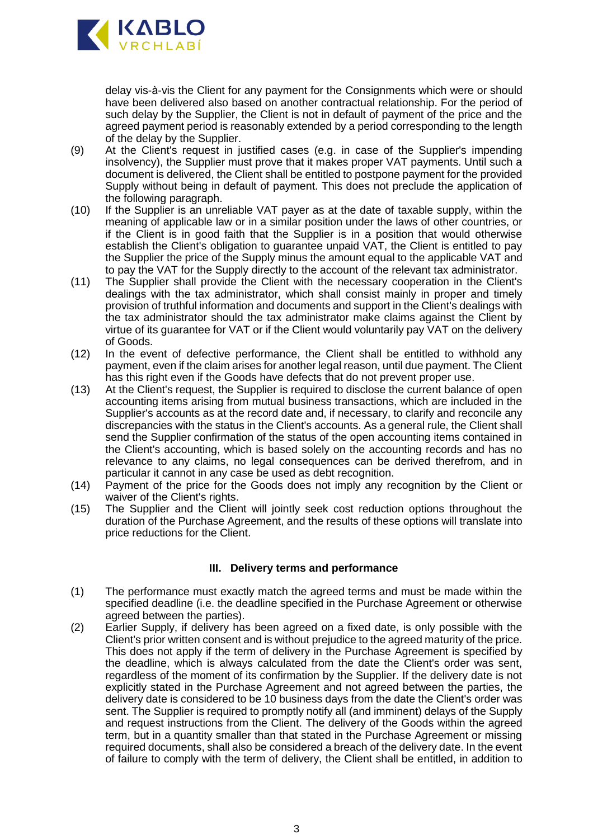

delay vis-à-vis the Client for any payment for the Consignments which were or should have been delivered also based on another contractual relationship. For the period of such delay by the Supplier, the Client is not in default of payment of the price and the agreed payment period is reasonably extended by a period corresponding to the length of the delay by the Supplier.

- (9) At the Client's request in justified cases (e.g. in case of the Supplier's impending insolvency), the Supplier must prove that it makes proper VAT payments. Until such a document is delivered, the Client shall be entitled to postpone payment for the provided Supply without being in default of payment. This does not preclude the application of the following paragraph.
- (10) If the Supplier is an unreliable VAT payer as at the date of taxable supply, within the meaning of applicable law or in a similar position under the laws of other countries, or if the Client is in good faith that the Supplier is in a position that would otherwise establish the Client's obligation to guarantee unpaid VAT, the Client is entitled to pay the Supplier the price of the Supply minus the amount equal to the applicable VAT and to pay the VAT for the Supply directly to the account of the relevant tax administrator.
- (11) The Supplier shall provide the Client with the necessary cooperation in the Client's dealings with the tax administrator, which shall consist mainly in proper and timely provision of truthful information and documents and support in the Client's dealings with the tax administrator should the tax administrator make claims against the Client by virtue of its guarantee for VAT or if the Client would voluntarily pay VAT on the delivery of Goods.
- (12) In the event of defective performance, the Client shall be entitled to withhold any payment, even if the claim arises for another legal reason, until due payment. The Client has this right even if the Goods have defects that do not prevent proper use.
- (13) At the Client's request, the Supplier is required to disclose the current balance of open accounting items arising from mutual business transactions, which are included in the Supplier's accounts as at the record date and, if necessary, to clarify and reconcile any discrepancies with the status in the Client's accounts. As a general rule, the Client shall send the Supplier confirmation of the status of the open accounting items contained in the Client's accounting, which is based solely on the accounting records and has no relevance to any claims, no legal consequences can be derived therefrom, and in particular it cannot in any case be used as debt recognition.
- (14) Payment of the price for the Goods does not imply any recognition by the Client or waiver of the Client's rights.
- (15) The Supplier and the Client will jointly seek cost reduction options throughout the duration of the Purchase Agreement, and the results of these options will translate into price reductions for the Client.

## **III. Delivery terms and performance**

- (1) The performance must exactly match the agreed terms and must be made within the specified deadline (i.e. the deadline specified in the Purchase Agreement or otherwise agreed between the parties).
- (2) Earlier Supply, if delivery has been agreed on a fixed date, is only possible with the Client's prior written consent and is without prejudice to the agreed maturity of the price. This does not apply if the term of delivery in the Purchase Agreement is specified by the deadline, which is always calculated from the date the Client's order was sent, regardless of the moment of its confirmation by the Supplier. If the delivery date is not explicitly stated in the Purchase Agreement and not agreed between the parties, the delivery date is considered to be 10 business days from the date the Client's order was sent. The Supplier is required to promptly notify all (and imminent) delays of the Supply and request instructions from the Client. The delivery of the Goods within the agreed term, but in a quantity smaller than that stated in the Purchase Agreement or missing required documents, shall also be considered a breach of the delivery date. In the event of failure to comply with the term of delivery, the Client shall be entitled, in addition to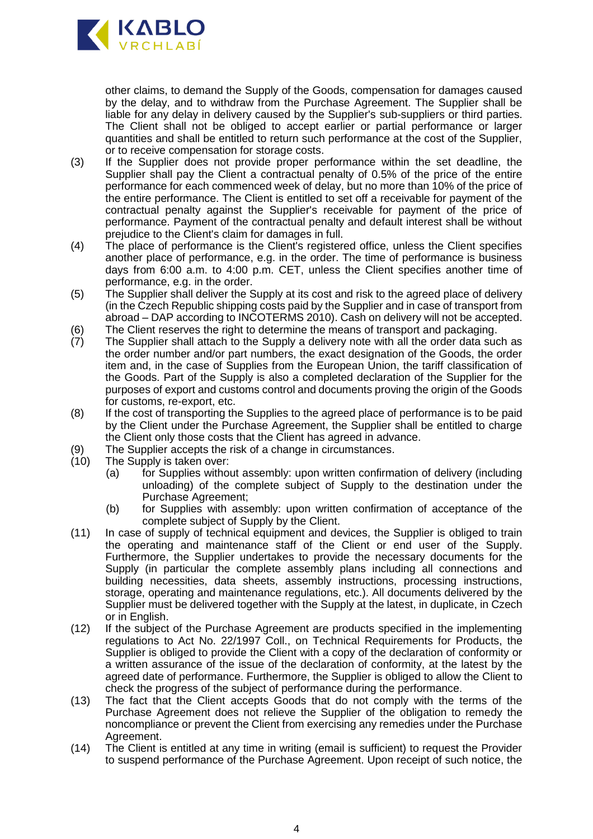

other claims, to demand the Supply of the Goods, compensation for damages caused by the delay, and to withdraw from the Purchase Agreement. The Supplier shall be liable for any delay in delivery caused by the Supplier's sub-suppliers or third parties. The Client shall not be obliged to accept earlier or partial performance or larger quantities and shall be entitled to return such performance at the cost of the Supplier, or to receive compensation for storage costs.

- (3) If the Supplier does not provide proper performance within the set deadline, the Supplier shall pay the Client a contractual penalty of 0.5% of the price of the entire performance for each commenced week of delay, but no more than 10% of the price of the entire performance. The Client is entitled to set off a receivable for payment of the contractual penalty against the Supplier's receivable for payment of the price of performance. Payment of the contractual penalty and default interest shall be without prejudice to the Client's claim for damages in full.
- (4) The place of performance is the Client's registered office, unless the Client specifies another place of performance, e.g. in the order. The time of performance is business days from 6:00 a.m. to 4:00 p.m. CET, unless the Client specifies another time of performance, e.g. in the order.
- (5) The Supplier shall deliver the Supply at its cost and risk to the agreed place of delivery (in the Czech Republic shipping costs paid by the Supplier and in case of transport from abroad – DAP according to INCOTERMS 2010). Cash on delivery will not be accepted.
- (6) The Client reserves the right to determine the means of transport and packaging.<br>(7) The Supplier shall attach to the Supply a delivery note with all the order data sug
- The Supplier shall attach to the Supply a delivery note with all the order data such as the order number and/or part numbers, the exact designation of the Goods, the order item and, in the case of Supplies from the European Union, the tariff classification of the Goods. Part of the Supply is also a completed declaration of the Supplier for the purposes of export and customs control and documents proving the origin of the Goods for customs, re-export, etc.
- (8) If the cost of transporting the Supplies to the agreed place of performance is to be paid by the Client under the Purchase Agreement, the Supplier shall be entitled to charge the Client only those costs that the Client has agreed in advance.
- (9) The Supplier accepts the risk of a change in circumstances.<br>(10) The Supply is taken over:
- The Supply is taken over:
	- (a) for Supplies without assembly: upon written confirmation of delivery (including unloading) of the complete subject of Supply to the destination under the Purchase Agreement;
	- (b) for Supplies with assembly: upon written confirmation of acceptance of the complete subject of Supply by the Client.
- (11) In case of supply of technical equipment and devices, the Supplier is obliged to train the operating and maintenance staff of the Client or end user of the Supply. Furthermore, the Supplier undertakes to provide the necessary documents for the Supply (in particular the complete assembly plans including all connections and building necessities, data sheets, assembly instructions, processing instructions, storage, operating and maintenance regulations, etc.). All documents delivered by the Supplier must be delivered together with the Supply at the latest, in duplicate, in Czech or in English.
- (12) If the subject of the Purchase Agreement are products specified in the implementing regulations to Act No. 22/1997 Coll., on Technical Requirements for Products, the Supplier is obliged to provide the Client with a copy of the declaration of conformity or a written assurance of the issue of the declaration of conformity, at the latest by the agreed date of performance. Furthermore, the Supplier is obliged to allow the Client to check the progress of the subject of performance during the performance.
- (13) The fact that the Client accepts Goods that do not comply with the terms of the Purchase Agreement does not relieve the Supplier of the obligation to remedy the noncompliance or prevent the Client from exercising any remedies under the Purchase Agreement.
- (14) The Client is entitled at any time in writing (email is sufficient) to request the Provider to suspend performance of the Purchase Agreement. Upon receipt of such notice, the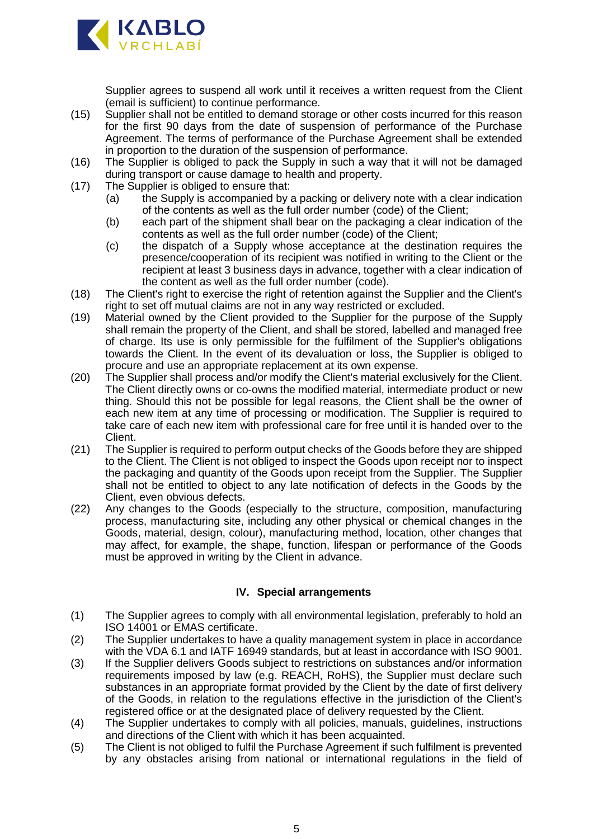

Supplier agrees to suspend all work until it receives a written request from the Client (email is sufficient) to continue performance.

- (15) Supplier shall not be entitled to demand storage or other costs incurred for this reason for the first 90 days from the date of suspension of performance of the Purchase Agreement. The terms of performance of the Purchase Agreement shall be extended in proportion to the duration of the suspension of performance.
- (16) The Supplier is obliged to pack the Supply in such a way that it will not be damaged during transport or cause damage to health and property.
- (17) The Supplier is obliged to ensure that:
	- (a) the Supply is accompanied by a packing or delivery note with a clear indication of the contents as well as the full order number (code) of the Client;
	- (b) each part of the shipment shall bear on the packaging a clear indication of the contents as well as the full order number (code) of the Client;
	- (c) the dispatch of a Supply whose acceptance at the destination requires the presence/cooperation of its recipient was notified in writing to the Client or the recipient at least 3 business days in advance, together with a clear indication of the content as well as the full order number (code).
- (18) The Client's right to exercise the right of retention against the Supplier and the Client's right to set off mutual claims are not in any way restricted or excluded.
- (19) Material owned by the Client provided to the Supplier for the purpose of the Supply shall remain the property of the Client, and shall be stored, labelled and managed free of charge. Its use is only permissible for the fulfilment of the Supplier's obligations towards the Client. In the event of its devaluation or loss, the Supplier is obliged to procure and use an appropriate replacement at its own expense.
- (20) The Supplier shall process and/or modify the Client's material exclusively for the Client. The Client directly owns or co-owns the modified material, intermediate product or new thing. Should this not be possible for legal reasons, the Client shall be the owner of each new item at any time of processing or modification. The Supplier is required to take care of each new item with professional care for free until it is handed over to the Client.
- (21) The Supplier is required to perform output checks of the Goods before they are shipped to the Client. The Client is not obliged to inspect the Goods upon receipt nor to inspect the packaging and quantity of the Goods upon receipt from the Supplier. The Supplier shall not be entitled to object to any late notification of defects in the Goods by the Client, even obvious defects.
- (22) Any changes to the Goods (especially to the structure, composition, manufacturing process, manufacturing site, including any other physical or chemical changes in the Goods, material, design, colour), manufacturing method, location, other changes that may affect, for example, the shape, function, lifespan or performance of the Goods must be approved in writing by the Client in advance.

## **IV. Special arrangements**

- (1) The Supplier agrees to comply with all environmental legislation, preferably to hold an ISO 14001 or EMAS certificate.
- (2) The Supplier undertakes to have a quality management system in place in accordance with the VDA 6.1 and IATF 16949 standards, but at least in accordance with ISO 9001.
- (3) If the Supplier delivers Goods subject to restrictions on substances and/or information requirements imposed by law (e.g. REACH, RoHS), the Supplier must declare such substances in an appropriate format provided by the Client by the date of first delivery of the Goods, in relation to the regulations effective in the jurisdiction of the Client's registered office or at the designated place of delivery requested by the Client.
- (4) The Supplier undertakes to comply with all policies, manuals, guidelines, instructions and directions of the Client with which it has been acquainted.
- (5) The Client is not obliged to fulfil the Purchase Agreement if such fulfilment is prevented by any obstacles arising from national or international regulations in the field of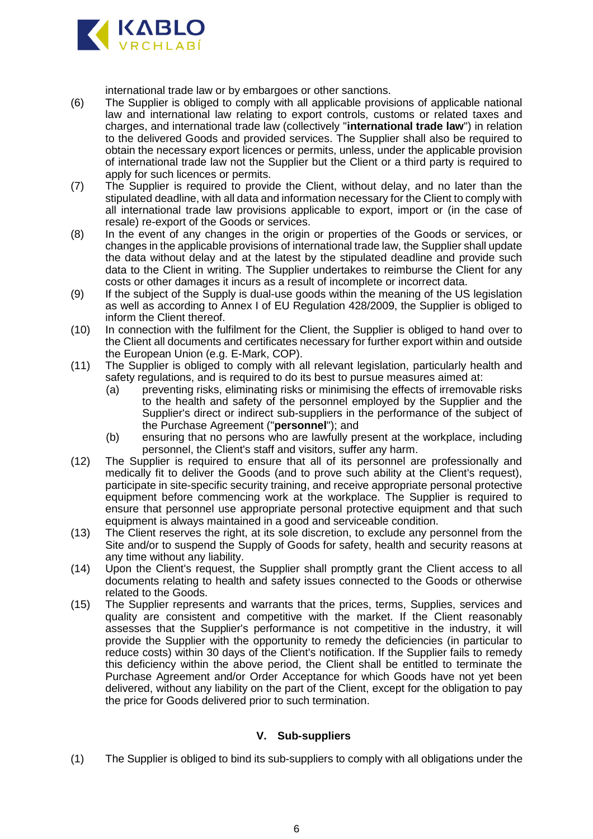

international trade law or by embargoes or other sanctions.

- (6) The Supplier is obliged to comply with all applicable provisions of applicable national law and international law relating to export controls, customs or related taxes and charges, and international trade law (collectively "**international trade law**") in relation to the delivered Goods and provided services. The Supplier shall also be required to obtain the necessary export licences or permits, unless, under the applicable provision of international trade law not the Supplier but the Client or a third party is required to apply for such licences or permits.
- (7) The Supplier is required to provide the Client, without delay, and no later than the stipulated deadline, with all data and information necessary for the Client to comply with all international trade law provisions applicable to export, import or (in the case of resale) re-export of the Goods or services.
- (8) In the event of any changes in the origin or properties of the Goods or services, or changes in the applicable provisions of international trade law, the Supplier shall update the data without delay and at the latest by the stipulated deadline and provide such data to the Client in writing. The Supplier undertakes to reimburse the Client for any costs or other damages it incurs as a result of incomplete or incorrect data.
- (9) If the subject of the Supply is dual-use goods within the meaning of the US legislation as well as according to Annex I of EU Regulation 428/2009, the Supplier is obliged to inform the Client thereof.
- (10) In connection with the fulfilment for the Client, the Supplier is obliged to hand over to the Client all documents and certificates necessary for further export within and outside the European Union (e.g. E-Mark, COP).
- (11) The Supplier is obliged to comply with all relevant legislation, particularly health and safety regulations, and is required to do its best to pursue measures aimed at:
	- (a) preventing risks, eliminating risks or minimising the effects of irremovable risks to the health and safety of the personnel employed by the Supplier and the Supplier's direct or indirect sub-suppliers in the performance of the subject of the Purchase Agreement ("**personnel**"); and
	- (b) ensuring that no persons who are lawfully present at the workplace, including personnel, the Client's staff and visitors, suffer any harm.
- (12) The Supplier is required to ensure that all of its personnel are professionally and medically fit to deliver the Goods (and to prove such ability at the Client's request), participate in site-specific security training, and receive appropriate personal protective equipment before commencing work at the workplace. The Supplier is required to ensure that personnel use appropriate personal protective equipment and that such equipment is always maintained in a good and serviceable condition.
- (13) The Client reserves the right, at its sole discretion, to exclude any personnel from the Site and/or to suspend the Supply of Goods for safety, health and security reasons at any time without any liability.
- (14) Upon the Client's request, the Supplier shall promptly grant the Client access to all documents relating to health and safety issues connected to the Goods or otherwise related to the Goods.
- (15) The Supplier represents and warrants that the prices, terms, Supplies, services and quality are consistent and competitive with the market. If the Client reasonably assesses that the Supplier's performance is not competitive in the industry, it will provide the Supplier with the opportunity to remedy the deficiencies (in particular to reduce costs) within 30 days of the Client's notification. If the Supplier fails to remedy this deficiency within the above period, the Client shall be entitled to terminate the Purchase Agreement and/or Order Acceptance for which Goods have not yet been delivered, without any liability on the part of the Client, except for the obligation to pay the price for Goods delivered prior to such termination.

## **V. Sub-suppliers**

(1) The Supplier is obliged to bind its sub-suppliers to comply with all obligations under the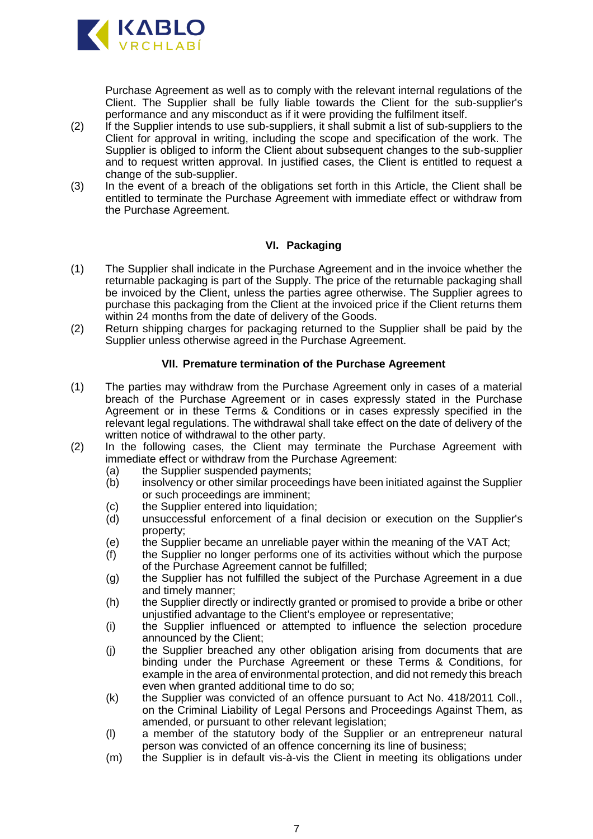

Purchase Agreement as well as to comply with the relevant internal regulations of the Client. The Supplier shall be fully liable towards the Client for the sub-supplier's performance and any misconduct as if it were providing the fulfilment itself.

- (2) If the Supplier intends to use sub-suppliers, it shall submit a list of sub-suppliers to the Client for approval in writing, including the scope and specification of the work. The Supplier is obliged to inform the Client about subsequent changes to the sub-supplier and to request written approval. In justified cases, the Client is entitled to request a change of the sub-supplier.
- (3) In the event of a breach of the obligations set forth in this Article, the Client shall be entitled to terminate the Purchase Agreement with immediate effect or withdraw from the Purchase Agreement.

## **VI. Packaging**

- (1) The Supplier shall indicate in the Purchase Agreement and in the invoice whether the returnable packaging is part of the Supply. The price of the returnable packaging shall be invoiced by the Client, unless the parties agree otherwise. The Supplier agrees to purchase this packaging from the Client at the invoiced price if the Client returns them within 24 months from the date of delivery of the Goods.
- (2) Return shipping charges for packaging returned to the Supplier shall be paid by the Supplier unless otherwise agreed in the Purchase Agreement.

## **VII. Premature termination of the Purchase Agreement**

- (1) The parties may withdraw from the Purchase Agreement only in cases of a material breach of the Purchase Agreement or in cases expressly stated in the Purchase Agreement or in these Terms & Conditions or in cases expressly specified in the relevant legal regulations. The withdrawal shall take effect on the date of delivery of the written notice of withdrawal to the other party.
- (2) In the following cases, the Client may terminate the Purchase Agreement with immediate effect or withdraw from the Purchase Agreement:
	- (a) the Supplier suspended payments;<br>(b) insolvency or other similar proceedi
	- insolvency or other similar proceedings have been initiated against the Supplier or such proceedings are imminent;
	- (c) the Supplier entered into liquidation;<br>(d) unsuccessful enforcement of a final
	- (d) unsuccessful enforcement of a final decision or execution on the Supplier's property;
	- (e) the Supplier became an unreliable payer within the meaning of the VAT Act;
	- $(f)$  the Supplier no longer performs one of its activities without which the purpose of the Purchase Agreement cannot be fulfilled;
	- (g) the Supplier has not fulfilled the subject of the Purchase Agreement in a due and timely manner;
	- (h) the Supplier directly or indirectly granted or promised to provide a bribe or other unjustified advantage to the Client's employee or representative;
	- (i) the Supplier influenced or attempted to influence the selection procedure announced by the Client;
	- (j) the Supplier breached any other obligation arising from documents that are binding under the Purchase Agreement or these Terms & Conditions, for example in the area of environmental protection, and did not remedy this breach even when granted additional time to do so;
	- (k) the Supplier was convicted of an offence pursuant to Act No. 418/2011 Coll., on the Criminal Liability of Legal Persons and Proceedings Against Them, as amended, or pursuant to other relevant legislation;
	- (l) a member of the statutory body of the Supplier or an entrepreneur natural person was convicted of an offence concerning its line of business;
	- (m) the Supplier is in default vis-à-vis the Client in meeting its obligations under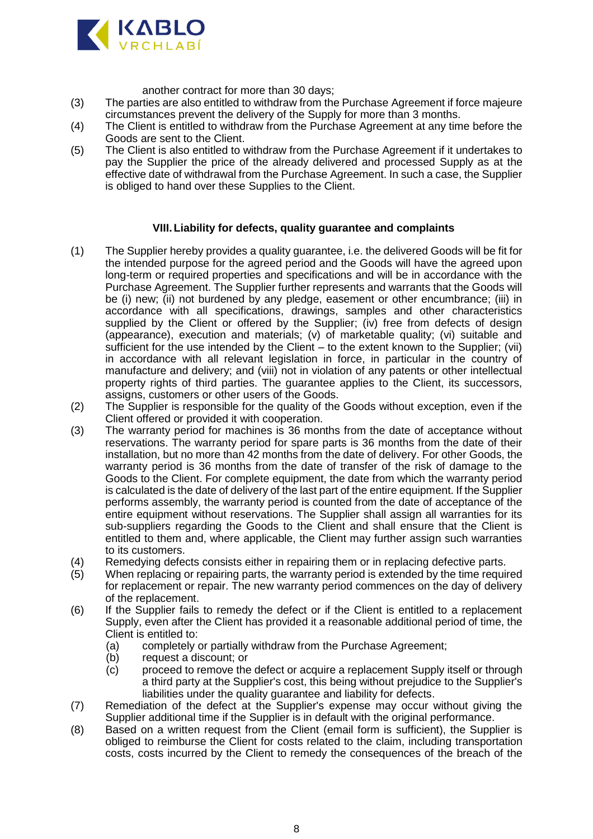

another contract for more than 30 days;

- (3) The parties are also entitled to withdraw from the Purchase Agreement if force majeure circumstances prevent the delivery of the Supply for more than 3 months.
- (4) The Client is entitled to withdraw from the Purchase Agreement at any time before the Goods are sent to the Client.
- (5) The Client is also entitled to withdraw from the Purchase Agreement if it undertakes to pay the Supplier the price of the already delivered and processed Supply as at the effective date of withdrawal from the Purchase Agreement. In such a case, the Supplier is obliged to hand over these Supplies to the Client.

### **VIII.Liability for defects, quality guarantee and complaints**

- (1) The Supplier hereby provides a quality guarantee, i.e. the delivered Goods will be fit for the intended purpose for the agreed period and the Goods will have the agreed upon long-term or required properties and specifications and will be in accordance with the Purchase Agreement. The Supplier further represents and warrants that the Goods will be (i) new; (ii) not burdened by any pledge, easement or other encumbrance; (iii) in accordance with all specifications, drawings, samples and other characteristics supplied by the Client or offered by the Supplier; (iv) free from defects of design (appearance), execution and materials; (v) of marketable quality; (vi) suitable and sufficient for the use intended by the Client – to the extent known to the Supplier; (vii) in accordance with all relevant legislation in force, in particular in the country of manufacture and delivery; and (viii) not in violation of any patents or other intellectual property rights of third parties. The guarantee applies to the Client, its successors, assigns, customers or other users of the Goods.
- (2) The Supplier is responsible for the quality of the Goods without exception, even if the Client offered or provided it with cooperation.
- (3) The warranty period for machines is 36 months from the date of acceptance without reservations. The warranty period for spare parts is 36 months from the date of their installation, but no more than 42 months from the date of delivery. For other Goods, the warranty period is 36 months from the date of transfer of the risk of damage to the Goods to the Client. For complete equipment, the date from which the warranty period is calculated is the date of delivery of the last part of the entire equipment. If the Supplier performs assembly, the warranty period is counted from the date of acceptance of the entire equipment without reservations. The Supplier shall assign all warranties for its sub-suppliers regarding the Goods to the Client and shall ensure that the Client is entitled to them and, where applicable, the Client may further assign such warranties to its customers.
- (4) Remedying defects consists either in repairing them or in replacing defective parts.<br>(5) When replacing or repairing parts, the warranty period is extended by the time require
- When replacing or repairing parts, the warranty period is extended by the time required for replacement or repair. The new warranty period commences on the day of delivery of the replacement.
- (6) If the Supplier fails to remedy the defect or if the Client is entitled to a replacement Supply, even after the Client has provided it a reasonable additional period of time, the Client is entitled to:
	- (a) completely or partially withdraw from the Purchase Agreement;
	- (b) request a discount; or
	- (c) proceed to remove the defect or acquire a replacement Supply itself or through a third party at the Supplier's cost, this being without prejudice to the Supplier's liabilities under the quality guarantee and liability for defects.
- (7) Remediation of the defect at the Supplier's expense may occur without giving the Supplier additional time if the Supplier is in default with the original performance.
- (8) Based on a written request from the Client (email form is sufficient), the Supplier is obliged to reimburse the Client for costs related to the claim, including transportation costs, costs incurred by the Client to remedy the consequences of the breach of the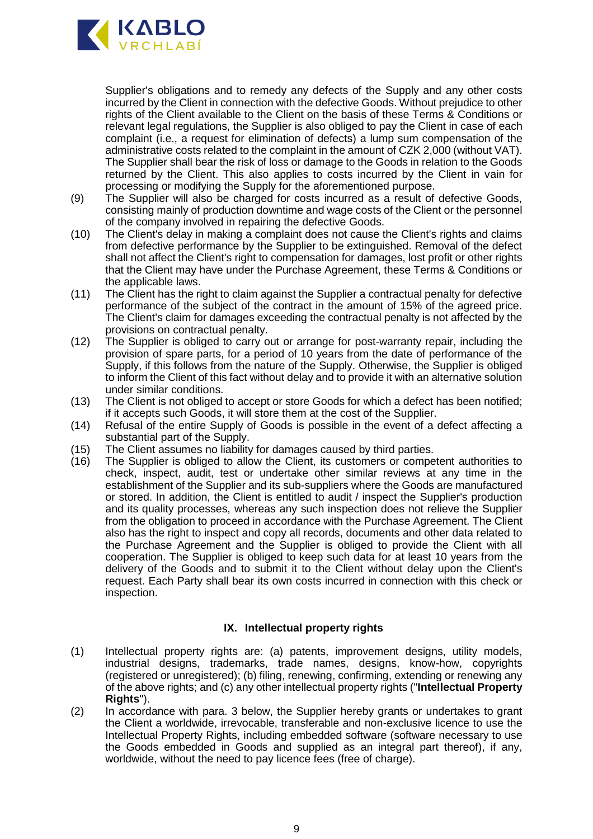

Supplier's obligations and to remedy any defects of the Supply and any other costs incurred by the Client in connection with the defective Goods. Without prejudice to other rights of the Client available to the Client on the basis of these Terms & Conditions or relevant legal regulations, the Supplier is also obliged to pay the Client in case of each complaint (i.e., a request for elimination of defects) a lump sum compensation of the administrative costs related to the complaint in the amount of CZK 2,000 (without VAT). The Supplier shall bear the risk of loss or damage to the Goods in relation to the Goods returned by the Client. This also applies to costs incurred by the Client in vain for processing or modifying the Supply for the aforementioned purpose.

- (9) The Supplier will also be charged for costs incurred as a result of defective Goods, consisting mainly of production downtime and wage costs of the Client or the personnel of the company involved in repairing the defective Goods.
- (10) The Client's delay in making a complaint does not cause the Client's rights and claims from defective performance by the Supplier to be extinguished. Removal of the defect shall not affect the Client's right to compensation for damages, lost profit or other rights that the Client may have under the Purchase Agreement, these Terms & Conditions or the applicable laws.
- (11) The Client has the right to claim against the Supplier a contractual penalty for defective performance of the subject of the contract in the amount of 15% of the agreed price. The Client's claim for damages exceeding the contractual penalty is not affected by the provisions on contractual penalty.
- (12) The Supplier is obliged to carry out or arrange for post-warranty repair, including the provision of spare parts, for a period of 10 years from the date of performance of the Supply, if this follows from the nature of the Supply. Otherwise, the Supplier is obliged to inform the Client of this fact without delay and to provide it with an alternative solution under similar conditions.
- (13) The Client is not obliged to accept or store Goods for which a defect has been notified; if it accepts such Goods, it will store them at the cost of the Supplier.
- (14) Refusal of the entire Supply of Goods is possible in the event of a defect affecting a substantial part of the Supply.
- (15) The Client assumes no liability for damages caused by third parties.
- (16) The Supplier is obliged to allow the Client, its customers or competent authorities to check, inspect, audit, test or undertake other similar reviews at any time in the establishment of the Supplier and its sub-suppliers where the Goods are manufactured or stored. In addition, the Client is entitled to audit / inspect the Supplier's production and its quality processes, whereas any such inspection does not relieve the Supplier from the obligation to proceed in accordance with the Purchase Agreement. The Client also has the right to inspect and copy all records, documents and other data related to the Purchase Agreement and the Supplier is obliged to provide the Client with all cooperation. The Supplier is obliged to keep such data for at least 10 years from the delivery of the Goods and to submit it to the Client without delay upon the Client's request. Each Party shall bear its own costs incurred in connection with this check or inspection.

## **IX. Intellectual property rights**

- (1) Intellectual property rights are: (a) patents, improvement designs, utility models, industrial designs, trademarks, trade names, designs, know-how, copyrights (registered or unregistered); (b) filing, renewing, confirming, extending or renewing any of the above rights; and (c) any other intellectual property rights ("**Intellectual Property Rights**").
- (2) In accordance with para. 3 below, the Supplier hereby grants or undertakes to grant the Client a worldwide, irrevocable, transferable and non-exclusive licence to use the Intellectual Property Rights, including embedded software (software necessary to use the Goods embedded in Goods and supplied as an integral part thereof), if any, worldwide, without the need to pay licence fees (free of charge).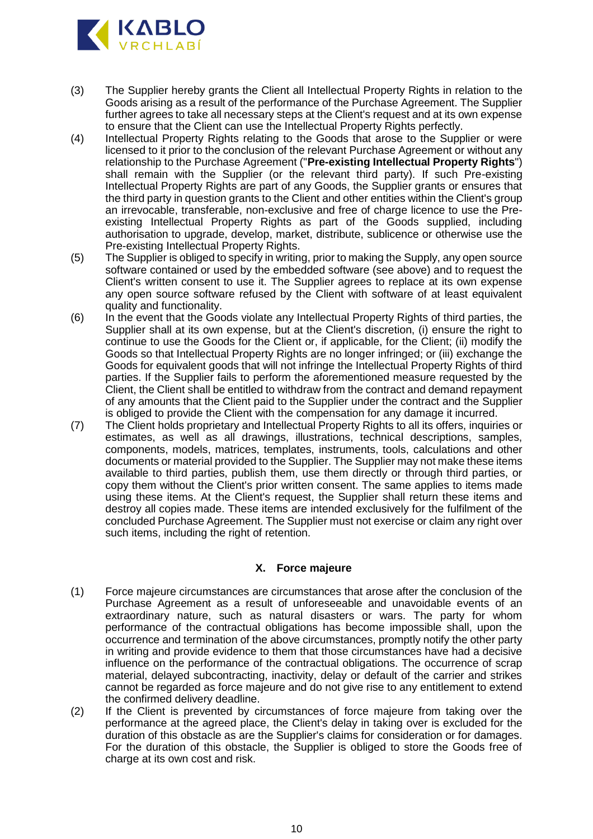

- (3) The Supplier hereby grants the Client all Intellectual Property Rights in relation to the Goods arising as a result of the performance of the Purchase Agreement. The Supplier further agrees to take all necessary steps at the Client's request and at its own expense to ensure that the Client can use the Intellectual Property Rights perfectly.
- (4) Intellectual Property Rights relating to the Goods that arose to the Supplier or were licensed to it prior to the conclusion of the relevant Purchase Agreement or without any relationship to the Purchase Agreement ("**Pre-existing Intellectual Property Rights**") shall remain with the Supplier (or the relevant third party). If such Pre-existing Intellectual Property Rights are part of any Goods, the Supplier grants or ensures that the third party in question grants to the Client and other entities within the Client's group an irrevocable, transferable, non-exclusive and free of charge licence to use the Preexisting Intellectual Property Rights as part of the Goods supplied, including authorisation to upgrade, develop, market, distribute, sublicence or otherwise use the Pre-existing Intellectual Property Rights.
- (5) The Supplier is obliged to specify in writing, prior to making the Supply, any open source software contained or used by the embedded software (see above) and to request the Client's written consent to use it. The Supplier agrees to replace at its own expense any open source software refused by the Client with software of at least equivalent quality and functionality.
- (6) In the event that the Goods violate any Intellectual Property Rights of third parties, the Supplier shall at its own expense, but at the Client's discretion, (i) ensure the right to continue to use the Goods for the Client or, if applicable, for the Client; (ii) modify the Goods so that Intellectual Property Rights are no longer infringed; or (iii) exchange the Goods for equivalent goods that will not infringe the Intellectual Property Rights of third parties. If the Supplier fails to perform the aforementioned measure requested by the Client, the Client shall be entitled to withdraw from the contract and demand repayment of any amounts that the Client paid to the Supplier under the contract and the Supplier is obliged to provide the Client with the compensation for any damage it incurred.
- (7) The Client holds proprietary and Intellectual Property Rights to all its offers, inquiries or estimates, as well as all drawings, illustrations, technical descriptions, samples, components, models, matrices, templates, instruments, tools, calculations and other documents or material provided to the Supplier. The Supplier may not make these items available to third parties, publish them, use them directly or through third parties, or copy them without the Client's prior written consent. The same applies to items made using these items. At the Client's request, the Supplier shall return these items and destroy all copies made. These items are intended exclusively for the fulfilment of the concluded Purchase Agreement. The Supplier must not exercise or claim any right over such items, including the right of retention.

# **X. Force majeure**

- (1) Force majeure circumstances are circumstances that arose after the conclusion of the Purchase Agreement as a result of unforeseeable and unavoidable events of an extraordinary nature, such as natural disasters or wars. The party for whom performance of the contractual obligations has become impossible shall, upon the occurrence and termination of the above circumstances, promptly notify the other party in writing and provide evidence to them that those circumstances have had a decisive influence on the performance of the contractual obligations. The occurrence of scrap material, delayed subcontracting, inactivity, delay or default of the carrier and strikes cannot be regarded as force majeure and do not give rise to any entitlement to extend the confirmed delivery deadline.
- (2) If the Client is prevented by circumstances of force majeure from taking over the performance at the agreed place, the Client's delay in taking over is excluded for the duration of this obstacle as are the Supplier's claims for consideration or for damages. For the duration of this obstacle, the Supplier is obliged to store the Goods free of charge at its own cost and risk.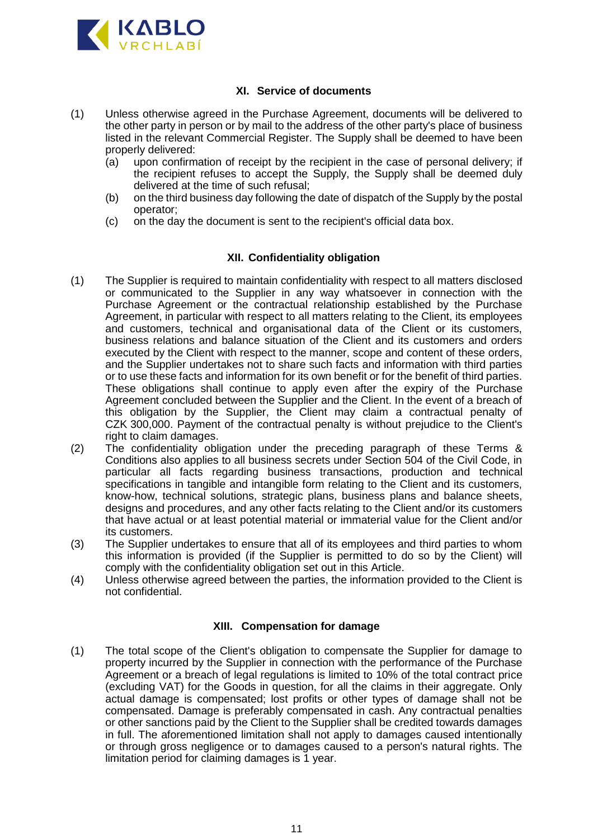

## **XI. Service of documents**

- (1) Unless otherwise agreed in the Purchase Agreement, documents will be delivered to the other party in person or by mail to the address of the other party's place of business listed in the relevant Commercial Register. The Supply shall be deemed to have been properly delivered:
	- (a) upon confirmation of receipt by the recipient in the case of personal delivery; if the recipient refuses to accept the Supply, the Supply shall be deemed duly delivered at the time of such refusal;
	- (b) on the third business day following the date of dispatch of the Supply by the postal operator;
	- (c) on the day the document is sent to the recipient's official data box.

## **XII. Confidentiality obligation**

- (1) The Supplier is required to maintain confidentiality with respect to all matters disclosed or communicated to the Supplier in any way whatsoever in connection with the Purchase Agreement or the contractual relationship established by the Purchase Agreement, in particular with respect to all matters relating to the Client, its employees and customers, technical and organisational data of the Client or its customers, business relations and balance situation of the Client and its customers and orders executed by the Client with respect to the manner, scope and content of these orders, and the Supplier undertakes not to share such facts and information with third parties or to use these facts and information for its own benefit or for the benefit of third parties. These obligations shall continue to apply even after the expiry of the Purchase Agreement concluded between the Supplier and the Client. In the event of a breach of this obligation by the Supplier, the Client may claim a contractual penalty of CZK 300,000. Payment of the contractual penalty is without prejudice to the Client's right to claim damages.
- (2) The confidentiality obligation under the preceding paragraph of these Terms & Conditions also applies to all business secrets under Section 504 of the Civil Code, in particular all facts regarding business transactions, production and technical specifications in tangible and intangible form relating to the Client and its customers, know-how, technical solutions, strategic plans, business plans and balance sheets, designs and procedures, and any other facts relating to the Client and/or its customers that have actual or at least potential material or immaterial value for the Client and/or its customers.
- (3) The Supplier undertakes to ensure that all of its employees and third parties to whom this information is provided (if the Supplier is permitted to do so by the Client) will comply with the confidentiality obligation set out in this Article.
- (4) Unless otherwise agreed between the parties, the information provided to the Client is not confidential.

## **XIII. Compensation for damage**

(1) The total scope of the Client's obligation to compensate the Supplier for damage to property incurred by the Supplier in connection with the performance of the Purchase Agreement or a breach of legal regulations is limited to 10% of the total contract price (excluding VAT) for the Goods in question, for all the claims in their aggregate. Only actual damage is compensated; lost profits or other types of damage shall not be compensated. Damage is preferably compensated in cash. Any contractual penalties or other sanctions paid by the Client to the Supplier shall be credited towards damages in full. The aforementioned limitation shall not apply to damages caused intentionally or through gross negligence or to damages caused to a person's natural rights. The limitation period for claiming damages is 1 year.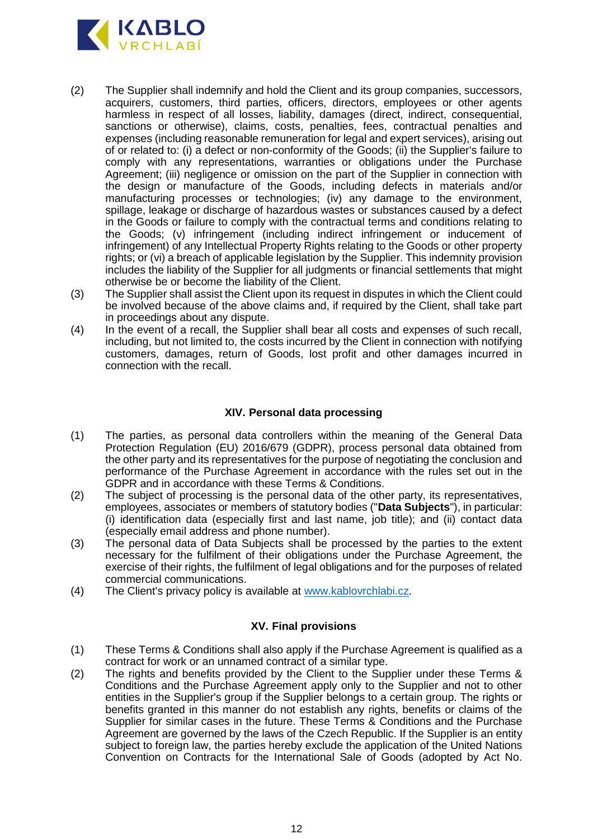

- (2) The Supplier shall indemnify and hold the Client and its group companies, successors, acquirers, customers, third parties, officers, directors, employees or other agents harmless in respect of all losses, liability, damages (direct, indirect, consequential, sanctions or otherwise), claims, costs, penalties, fees, contractual penalties and expenses (including reasonable remuneration for legal and expert services), arising out of or related to: (i) a defect or non-conformity of the Goods; (ii) the Supplier's failure to comply with any representations, warranties or obligations under the Purchase Agreement; (iii) negligence or omission on the part of the Supplier in connection with the design or manufacture of the Goods, including defects in materials and/or manufacturing processes or technologies; (iv) any damage to the environment, spillage, leakage or discharge of hazardous wastes or substances caused by a defect in the Goods or failure to comply with the contractual terms and conditions relating to the Goods; (v) infringement (including indirect infringement or inducement of infringement) of any Intellectual Property Rights relating to the Goods or other property rights; or (vi) a breach of applicable legislation by the Supplier. This indemnity provision includes the liability of the Supplier for all judgments or financial settlements that might otherwise be or become the liability of the Client.
- (3) The Supplier shall assist the Client upon its request in disputes in which the Client could be involved because of the above claims and, if required by the Client, shall take part in proceedings about any dispute.
- (4) In the event of a recall, the Supplier shall bear all costs and expenses of such recall, including, but not limited to, the costs incurred by the Client in connection with notifying customers, damages, return of Goods, lost profit and other damages incurred in connection with the recall.

## **XIV. Personal data processing**

- (1) The parties, as personal data controllers within the meaning of the General Data Protection Regulation (EU) 2016/679 (GDPR), process personal data obtained from the other party and its representatives for the purpose of negotiating the conclusion and performance of the Purchase Agreement in accordance with the rules set out in the GDPR and in accordance with these Terms & Conditions.
- (2) The subject of processing is the personal data of the other party, its representatives, employees, associates or members of statutory bodies ("**Data Subjects**"), in particular: (i) identification data (especially first and last name, job title); and (ii) contact data (especially email address and phone number).
- (3) The personal data of Data Subjects shall be processed by the parties to the extent necessary for the fulfilment of their obligations under the Purchase Agreement, the exercise of their rights, the fulfilment of legal obligations and for the purposes of related commercial communications.
- (4) The Client's privacy policy is available at [www.kablovrchlabi.cz.](http://www.kablovrchlabi.cz/)

#### **XV. Final provisions**

- (1) These Terms & Conditions shall also apply if the Purchase Agreement is qualified as a contract for work or an unnamed contract of a similar type.
- (2) The rights and benefits provided by the Client to the Supplier under these Terms & Conditions and the Purchase Agreement apply only to the Supplier and not to other entities in the Supplier's group if the Supplier belongs to a certain group. The rights or benefits granted in this manner do not establish any rights, benefits or claims of the Supplier for similar cases in the future. These Terms & Conditions and the Purchase Agreement are governed by the laws of the Czech Republic. If the Supplier is an entity subject to foreign law, the parties hereby exclude the application of the United Nations Convention on Contracts for the International Sale of Goods (adopted by Act No.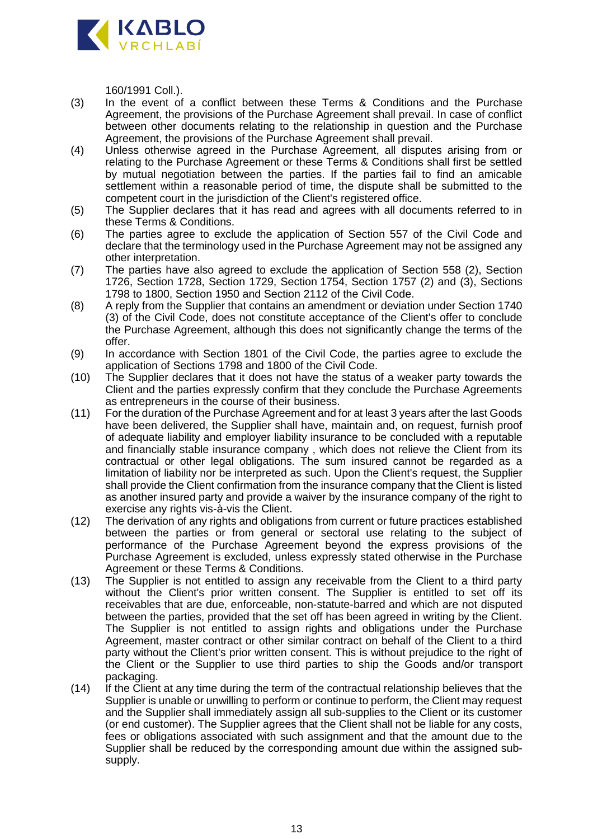

160/1991 Coll.).

- (3) In the event of a conflict between these Terms & Conditions and the Purchase Agreement, the provisions of the Purchase Agreement shall prevail. In case of conflict between other documents relating to the relationship in question and the Purchase Agreement, the provisions of the Purchase Agreement shall prevail.
- (4) Unless otherwise agreed in the Purchase Agreement, all disputes arising from or relating to the Purchase Agreement or these Terms & Conditions shall first be settled by mutual negotiation between the parties. If the parties fail to find an amicable settlement within a reasonable period of time, the dispute shall be submitted to the competent court in the jurisdiction of the Client's registered office.
- (5) The Supplier declares that it has read and agrees with all documents referred to in these Terms & Conditions.
- (6) The parties agree to exclude the application of Section 557 of the Civil Code and declare that the terminology used in the Purchase Agreement may not be assigned any other interpretation.
- (7) The parties have also agreed to exclude the application of Section 558 (2), Section 1726, Section 1728, Section 1729, Section 1754, Section 1757 (2) and (3), Sections 1798 to 1800, Section 1950 and Section 2112 of the Civil Code.
- (8) A reply from the Supplier that contains an amendment or deviation under Section 1740 (3) of the Civil Code, does not constitute acceptance of the Client's offer to conclude the Purchase Agreement, although this does not significantly change the terms of the offer.
- (9) In accordance with Section 1801 of the Civil Code, the parties agree to exclude the application of Sections 1798 and 1800 of the Civil Code.
- (10) The Supplier declares that it does not have the status of a weaker party towards the Client and the parties expressly confirm that they conclude the Purchase Agreements as entrepreneurs in the course of their business.
- (11) For the duration of the Purchase Agreement and for at least 3 years after the last Goods have been delivered, the Supplier shall have, maintain and, on request, furnish proof of adequate liability and employer liability insurance to be concluded with a reputable and financially stable insurance company , which does not relieve the Client from its contractual or other legal obligations. The sum insured cannot be regarded as a limitation of liability nor be interpreted as such. Upon the Client's request, the Supplier shall provide the Client confirmation from the insurance company that the Client is listed as another insured party and provide a waiver by the insurance company of the right to exercise any rights vis-à-vis the Client.
- (12) The derivation of any rights and obligations from current or future practices established between the parties or from general or sectoral use relating to the subject of performance of the Purchase Agreement beyond the express provisions of the Purchase Agreement is excluded, unless expressly stated otherwise in the Purchase Agreement or these Terms & Conditions.
- (13) The Supplier is not entitled to assign any receivable from the Client to a third party without the Client's prior written consent. The Supplier is entitled to set off its receivables that are due, enforceable, non-statute-barred and which are not disputed between the parties, provided that the set off has been agreed in writing by the Client. The Supplier is not entitled to assign rights and obligations under the Purchase Agreement, master contract or other similar contract on behalf of the Client to a third party without the Client's prior written consent. This is without prejudice to the right of the Client or the Supplier to use third parties to ship the Goods and/or transport packaging.
- (14) If the Client at any time during the term of the contractual relationship believes that the Supplier is unable or unwilling to perform or continue to perform, the Client may request and the Supplier shall immediately assign all sub-supplies to the Client or its customer (or end customer). The Supplier agrees that the Client shall not be liable for any costs, fees or obligations associated with such assignment and that the amount due to the Supplier shall be reduced by the corresponding amount due within the assigned subsupply.